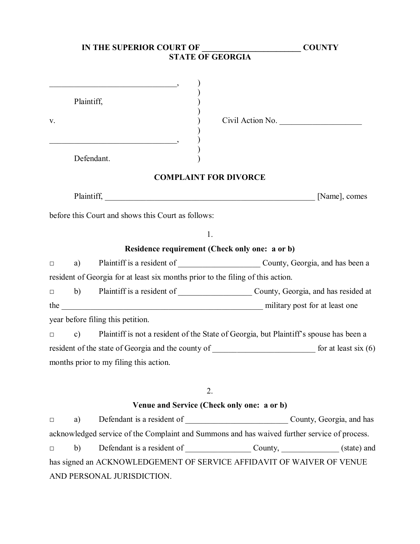|        |            | IN THE SUPERIOR COURT OF                                                        | <b>COUNTY</b>                                                                                |
|--------|------------|---------------------------------------------------------------------------------|----------------------------------------------------------------------------------------------|
|        |            |                                                                                 |                                                                                              |
| V.     | Plaintiff, | $\overline{\phantom{a}}$                                                        | Civil Action No.                                                                             |
|        |            | Defendant.                                                                      |                                                                                              |
|        |            | <b>COMPLAINT FOR DIVORCE</b>                                                    |                                                                                              |
|        |            |                                                                                 | Plaintiff, Mame], comes [Name], comes                                                        |
|        |            | before this Court and shows this Court as follows:                              |                                                                                              |
|        |            | 1.                                                                              |                                                                                              |
|        |            | Residence requirement (Check only one: a or b)                                  |                                                                                              |
| $\Box$ | a)         |                                                                                 |                                                                                              |
|        |            | resident of Georgia for at least six months prior to the filing of this action. |                                                                                              |
| $\Box$ |            |                                                                                 | b) Plaintiff is a resident of County, Georgia, and has resided at                            |
|        |            |                                                                                 |                                                                                              |
|        |            | year before filing this petition.                                               |                                                                                              |
| $\Box$ |            |                                                                                 | c) Plaint if is not a resident of the State of Georgia, but Plaint if is spouse has been a   |
|        |            |                                                                                 |                                                                                              |
|        |            | months prior to my filing this action.                                          |                                                                                              |
|        |            | 2.                                                                              |                                                                                              |
|        |            | Venue and Service (Check only one: a or b)                                      |                                                                                              |
| $\Box$ | a)         |                                                                                 | Defendant is a resident of County, Georgia, and has                                          |
|        |            |                                                                                 | acknowledged service of the Complaint and Summons and has waived further service of process. |
| $\Box$ | b)         |                                                                                 | Defendant is a resident of County, County, County (state) and                                |
|        |            |                                                                                 | has signed an ACKNOWLEDGEMENT OF SERVICE AFFIDAVIT OF WAIVER OF VENUE                        |
|        |            | AND PERSONAL JURISDICTION.                                                      |                                                                                              |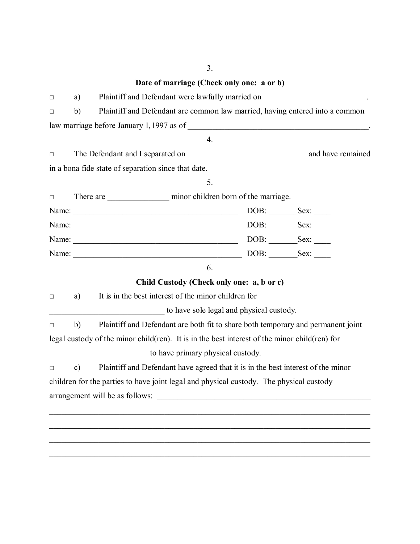## 3.

## **Date of marriage (Check only one: a or b)**

| $\Box$ | Plaintiff and Defendant were lawfully married on _______________________________.<br>a)           |                                                                                               |  |  |  |
|--------|---------------------------------------------------------------------------------------------------|-----------------------------------------------------------------------------------------------|--|--|--|
| $\Box$ | Plaintiff and Defendant are common law married, having entered into a common<br>b)                |                                                                                               |  |  |  |
|        |                                                                                                   |                                                                                               |  |  |  |
|        |                                                                                                   | 4.                                                                                            |  |  |  |
| $\Box$ |                                                                                                   |                                                                                               |  |  |  |
|        |                                                                                                   | in a bona fide state of separation since that date.                                           |  |  |  |
|        |                                                                                                   | 5.                                                                                            |  |  |  |
| $\Box$ |                                                                                                   |                                                                                               |  |  |  |
|        |                                                                                                   |                                                                                               |  |  |  |
|        |                                                                                                   |                                                                                               |  |  |  |
|        |                                                                                                   |                                                                                               |  |  |  |
|        |                                                                                                   |                                                                                               |  |  |  |
|        |                                                                                                   | 6.                                                                                            |  |  |  |
|        |                                                                                                   | Child Custody (Check only one: a, b or c)                                                     |  |  |  |
| $\Box$ | a)                                                                                                | It is in the best interest of the minor children for                                          |  |  |  |
|        |                                                                                                   | to have sole legal and physical custody.                                                      |  |  |  |
| $\Box$ | b)                                                                                                | Plaintiff and Defendant are both fit to share both temporary and permanent joint              |  |  |  |
|        |                                                                                                   | legal custody of the minor child(ren). It is in the best interest of the minor child(ren) for |  |  |  |
|        |                                                                                                   | to have primary physical custody.                                                             |  |  |  |
| $\Box$ | Plaintiff and Defendant have agreed that it is in the best interest of the minor<br>$\mathbf{c})$ |                                                                                               |  |  |  |
|        |                                                                                                   | children for the parties to have joint legal and physical custody. The physical custody       |  |  |  |
|        |                                                                                                   | arrangement will be as follows:                                                               |  |  |  |
|        |                                                                                                   |                                                                                               |  |  |  |
|        |                                                                                                   |                                                                                               |  |  |  |
|        |                                                                                                   |                                                                                               |  |  |  |
|        |                                                                                                   |                                                                                               |  |  |  |
|        |                                                                                                   |                                                                                               |  |  |  |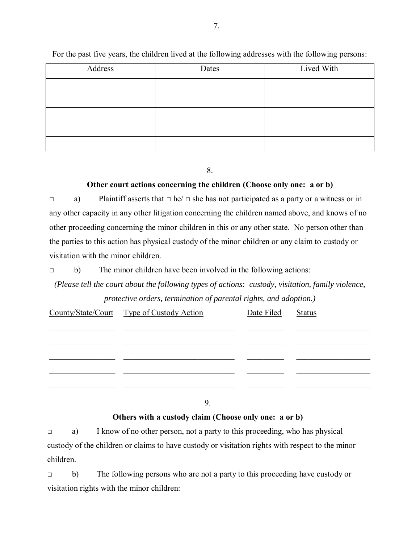| Address | Dates | Lived With |
|---------|-------|------------|
|         |       |            |
|         |       |            |
|         |       |            |
|         |       |            |
|         |       |            |

For the past five years, the children lived at the following addresses with the following persons:

8.

## **Other court actions concerning the children (Choose only one: a or b)**

□ a) Plaintiff asserts that □ he/ □ she has not participated as a party or a witness or in any other capacity in any other litigation concerning the children named above, and knows of no other proceeding concerning the minor children in this or any other state. No person other than the parties to this action has physical custody of the minor children or any claim to custody or visitation with the minor children.

 $\Box$  b) The minor children have been involved in the following actions:

*(Please tell the court about the following types of actions: custody, visitation, family violence, protective orders, termination of parental rights, and adoption.)*

| County/State/Court Type of Custody Action | Date Filed | <b>Status</b> |
|-------------------------------------------|------------|---------------|
|                                           |            |               |
|                                           |            |               |
|                                           |            |               |
|                                           |            |               |
|                                           |            |               |

9.

**Others with a custody claim (Choose only one: a or b)** 

□ a) I know of no other person, not a party to this proceeding, who has physical custody of the children or claims to have custody or visitation rights with respect to the minor children.

□ b) The following persons who are not a party to this proceeding have custody or visitation rights with the minor children: